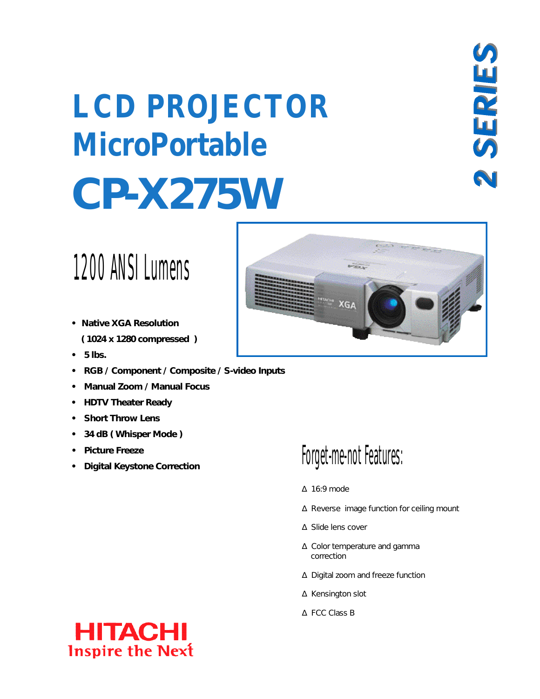# **CP-X275W LCD PROJECTOR MicroPortable**

### 1200 ANSI Lumens

- **Native XGA Resolution ( 1024 x 1280 compressed )**
- **5 lbs.**
- **RGB / Component / Composite / S-video Inputs**
- **Manual Zoom / Manual Focus**
- **HDTV Theater Ready**
- **Short Throw Lens**
- **34 dB ( Whisper Mode )**
- **Picture Freeze**
- **Digital Keystone Correction**



### Forget-me-not Features:

### 16:9 mode

Reverse image function for ceiling mount

Slide lens cover

 Color temperature and gamma correction

Digital zoom and freeze function

Kensington slot

FCC Class B